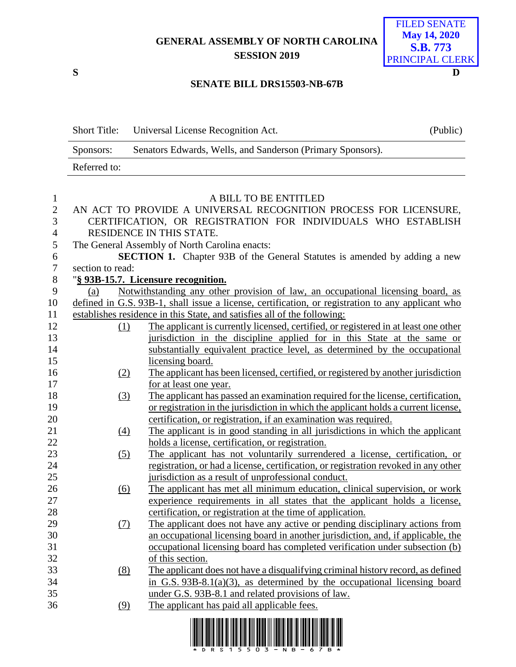## **GENERAL ASSEMBLY OF NORTH CAROLINA SESSION 2019**



## **SENATE BILL DRS15503-NB-67B**

|                            | <b>Short Title:</b> | Universal License Recognition Act.                                                                                                 | (Public) |
|----------------------------|---------------------|------------------------------------------------------------------------------------------------------------------------------------|----------|
|                            | Sponsors:           | Senators Edwards, Wells, and Sanderson (Primary Sponsors).                                                                         |          |
|                            | Referred to:        |                                                                                                                                    |          |
| $\mathbf{1}$               |                     | A BILL TO BE ENTITLED                                                                                                              |          |
| $\mathbf{2}$               |                     | AN ACT TO PROVIDE A UNIVERSAL RECOGNITION PROCESS FOR LICENSURE,                                                                   |          |
| 3                          |                     | CERTIFICATION, OR REGISTRATION FOR INDIVIDUALS WHO ESTABLISH<br>RESIDENCE IN THIS STATE.                                           |          |
| $\overline{4}$             |                     |                                                                                                                                    |          |
| 5                          |                     | The General Assembly of North Carolina enacts:<br><b>SECTION 1.</b> Chapter 93B of the General Statutes is amended by adding a new |          |
| $\boldsymbol{6}$<br>$\tau$ | section to read:    |                                                                                                                                    |          |
| $\, 8$                     |                     | "§ 93B-15.7. Licensure recognition.                                                                                                |          |
| 9                          | (a)                 | Notwithstanding any other provision of law, an occupational licensing board, as                                                    |          |
| 10                         |                     | defined in G.S. 93B-1, shall issue a license, certification, or registration to any applicant who                                  |          |
| 11                         |                     | establishes residence in this State, and satisfies all of the following:                                                           |          |
| 12                         | (1)                 | The applicant is currently licensed, certified, or registered in at least one other                                                |          |
| 13                         |                     | jurisdiction in the discipline applied for in this State at the same or                                                            |          |
| 14                         |                     | substantially equivalent practice level, as determined by the occupational                                                         |          |
| 15                         |                     | licensing board.                                                                                                                   |          |
| 16                         | (2)                 | The applicant has been licensed, certified, or registered by another jurisdiction                                                  |          |
| 17                         |                     | for at least one year.                                                                                                             |          |
| 18                         | (3)                 | The applicant has passed an examination required for the license, certification,                                                   |          |
| 19                         |                     | or registration in the jurisdiction in which the applicant holds a current license.                                                |          |
| 20                         |                     | certification, or registration, if an examination was required.                                                                    |          |
| 21                         | $\underline{(4)}$   | The applicant is in good standing in all jurisdictions in which the applicant                                                      |          |
| 22                         |                     | holds a license, certification, or registration.                                                                                   |          |
| 23                         | (5)                 | The applicant has not voluntarily surrendered a license, certification, or                                                         |          |
| 24                         |                     | registration, or had a license, certification, or registration revoked in any other                                                |          |
| 25                         |                     | jurisdiction as a result of unprofessional conduct.                                                                                |          |
| 26                         | $\underline{(6)}$   | The applicant has met all minimum education, clinical supervision, or work                                                         |          |
| 27                         |                     | experience requirements in all states that the applicant holds a license,                                                          |          |
| 28                         |                     | certification, or registration at the time of application.                                                                         |          |
| 29                         | (7)                 | The applicant does not have any active or pending disciplinary actions from                                                        |          |
| 30                         |                     | an occupational licensing board in another jurisdiction, and, if applicable, the                                                   |          |
| 31                         |                     | occupational licensing board has completed verification under subsection (b)                                                       |          |
| 32                         |                     | of this section.                                                                                                                   |          |
| 33                         | (8)                 | The applicant does not have a disqualifying criminal history record, as defined                                                    |          |
| 34                         |                     | in G.S. $93B-8.1(a)(3)$ , as determined by the occupational licensing board                                                        |          |
| 35                         |                     | under G.S. 93B-8.1 and related provisions of law.                                                                                  |          |
| 36                         | (9)                 | The applicant has paid all applicable fees.                                                                                        |          |
|                            |                     | <u> 1 1001110 100110 11010 101 11001 01101 01111 00100 1111 11001101 0101 101 110010 01111 100101 101 1001</u>                     |          |